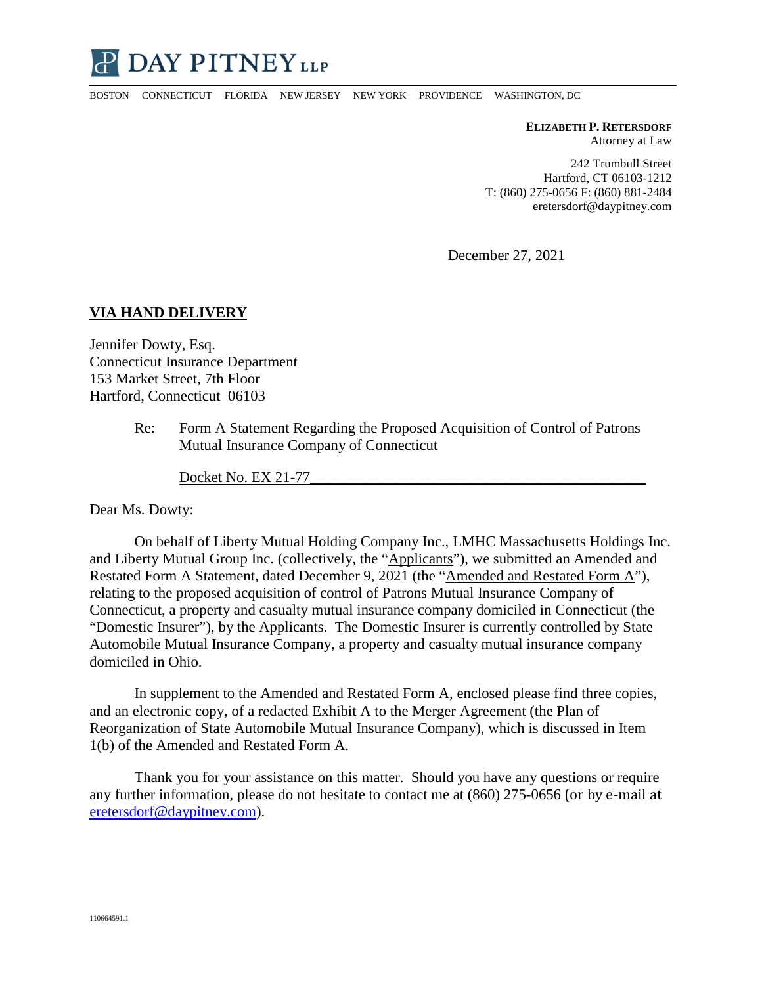

BOSTON CONNECTICUT FLORIDA NEW JERSEY NEW YORK PROVIDENCE WASHINGTON, DC

**ELIZABETH P. RETERSDORF** Attorney at Law

242 Trumbull Street Hartford, CT 06103-1212 T: (860) 275-0656 F: (860) 881-2484 eretersdorf@daypitney.com

December 27, 2021

## **VIA HAND DELIVERY**

Jennifer Dowty, Esq. Connecticut Insurance Department 153 Market Street, 7th Floor Hartford, Connecticut 06103

> Re: Form A Statement Regarding the Proposed Acquisition of Control of Patrons Mutual Insurance Company of Connecticut

Docket No. EX 21-77

Dear Ms. Dowty:

On behalf of Liberty Mutual Holding Company Inc., LMHC Massachusetts Holdings Inc. and Liberty Mutual Group Inc. (collectively, the "Applicants"), we submitted an Amended and Restated Form A Statement, dated December 9, 2021 (the "Amended and Restated Form A"), relating to the proposed acquisition of control of Patrons Mutual Insurance Company of Connecticut, a property and casualty mutual insurance company domiciled in Connecticut (the "Domestic Insurer"), by the Applicants. The Domestic Insurer is currently controlled by State Automobile Mutual Insurance Company, a property and casualty mutual insurance company domiciled in Ohio.

In supplement to the Amended and Restated Form A, enclosed please find three copies, and an electronic copy, of a redacted Exhibit A to the Merger Agreement (the Plan of Reorganization of State Automobile Mutual Insurance Company), which is discussed in Item 1(b) of the Amended and Restated Form A.

Thank you for your assistance on this matter. Should you have any questions or require any further information, please do not hesitate to contact me at (860) 275-0656 (or by e-mail at eretersdorf@daypitney.com).